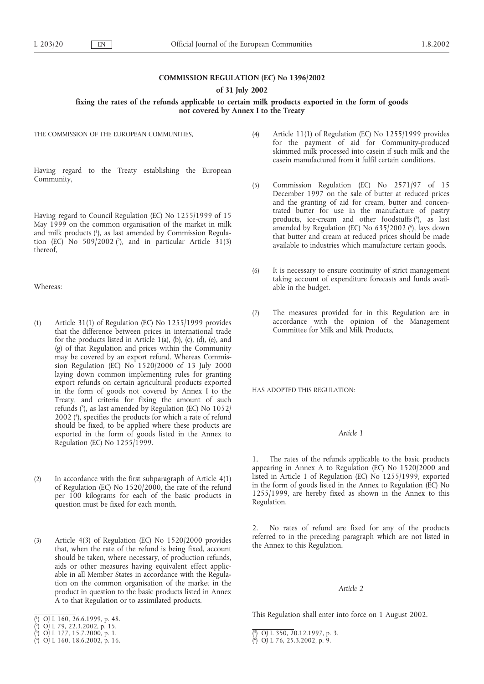## **COMMISSION REGULATION (EC) No 1396/2002**

**of 31 July 2002**

## fixing the rates of the refunds applicable to certain milk products exported in the form of goods **not covered by Annex I to the Treaty**

THE COMMISSION OF THE EUROPEAN COMMUNITIES,

Having regard to the Treaty establishing the European Community,

Having regard to Council Regulation (EC) No 1255/1999 of 15 May 1999 on the common organisation of the market in milk and milk products (1 ), as last amended by Commission Regulation (EC) No  $509/2002$  (?), and in particular Article 31(3) thereof,

Whereas:

- (1) Article 31(1) of Regulation (EC) No 1255/1999 provides that the difference between prices in international trade for the products listed in Article 1(a), (b), (c), (d), (e), and (g) of that Regulation and prices within the Community may be covered by an export refund. Whereas Commission Regulation (EC) No 1520/2000 of 13 July 2000 laying down common implementing rules for granting export refunds on certain agricultural products exported in the form of goods not covered by Annex I to the Treaty, and criteria for fixing the amount of such refunds (3 ), as last amended by Regulation (EC) No 1052/ 2002 (4 ), specifies the products for which a rate of refund should be fixed, to be applied where these products are exported in the form of goods listed in the Annex to Regulation (EC) No 1255/1999.
- (2) In accordance with the first subparagraph of Article 4(1) of Regulation (EC) No 1520/2000, the rate of the refund per 100 kilograms for each of the basic products in question must be fixed for each month.
- (3) Article 4(3) of Regulation (EC) No 1520/2000 provides that, when the rate of the refund is being fixed, account should be taken, where necessary, of production refunds, aids or other measures having equivalent effect applicable in all Member States in accordance with the Regulation on the common organisation of the market in the product in question to the basic products listed in Annex A to that Regulation or to assimilated products.
- (4) Article 11(1) of Regulation (EC) No 1255/1999 provides for the payment of aid for Community-produced skimmed milk processed into casein if such milk and the casein manufactured from it fulfil certain conditions.
- (5) Commission Regulation (EC) No 2571/97 of 15 December 1997 on the sale of butter at reduced prices and the granting of aid for cream, butter and concentrated butter for use in the manufacture of pastry products, ice-cream and other foodstuffs (5), as last amended by Regulation (EC) No 635/2002 (°), lays down that butter and cream at reduced prices should be made available to industries which manufacture certain goods.
- (6) It is necessary to ensure continuity of strict management taking account of expenditure forecasts and funds available in the budget.
- (7) The measures provided for in this Regulation are in accordance with the opinion of the Management Committee for Milk and Milk Products,

HAS ADOPTED THIS REGULATION:

## *Article 1*

1. The rates of the refunds applicable to the basic products appearing in Annex A to Regulation (EC) No 1520/2000 and listed in Article 1 of Regulation (EC) No 1255/1999, exported in the form of goods listed in the Annex to Regulation (EC) No 1255/1999, are hereby fixed as shown in the Annex to this Regulation.

2. No rates of refund are fixed for any of the products referred to in the preceding paragraph which are not listed in the Annex to this Regulation.

#### *Article 2*

This Regulation shall enter into force on 1 August 2002.

<sup>(</sup> 1 ) OJ L 160, 26.6.1999, p. 48.

<sup>(</sup> 2 ) OJ L 79, 22.3.2002, p. 15.

<sup>(</sup> 3 ) OJ L 177, 15.7.2000, p. 1.

<sup>(</sup> 4 ) OJ L 160, 18.6.2002, p. 16.

<sup>(</sup> 5 ) OJ L 350, 20.12.1997, p. 3.

<sup>(</sup> 6 ) OJ L 76, 25.3.2002, p. 9.